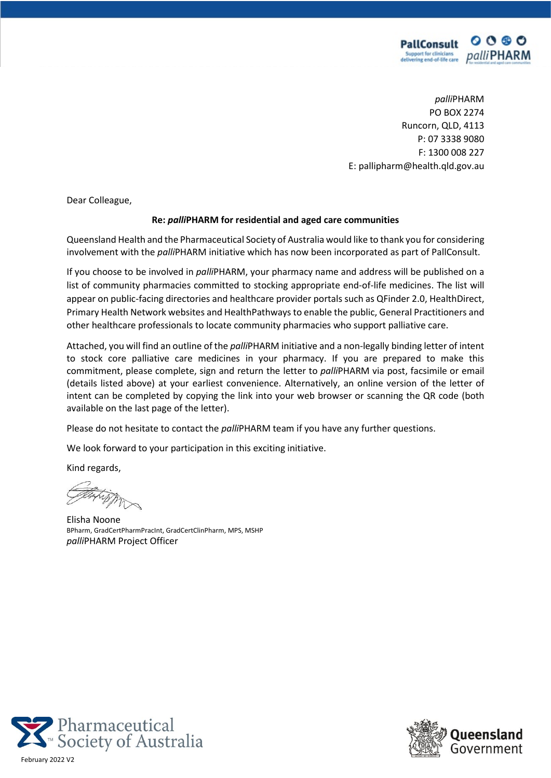

*palli*PHARM PO BOX 2274 Runcorn, QLD, 4113 P: 07 3338 9080 F: 1300 008 227 E: pallipharm@health.qld.gov.au

Dear Colleague,

#### **Re:** *palli***PHARM for residential and aged care communities**

Queensland Health and the Pharmaceutical Society of Australia would like to thank you for considering involvement with the *palli*PHARM initiative which has now been incorporated as part of PallConsult.

If you choose to be involved in *palli*PHARM, your pharmacy name and address will be published on a list of community pharmacies committed to stocking appropriate end-of-life medicines. The list will appear on public-facing directories and healthcare provider portals such as QFinder 2.0, HealthDirect, Primary Health Network websites and HealthPathways to enable the public, General Practitioners and other healthcare professionals to locate community pharmacies who support palliative care.

Attached, you will find an outline of the *palli*PHARM initiative and a non-legally binding letter of intent to stock core palliative care medicines in your pharmacy. If you are prepared to make this commitment, please complete, sign and return the letter to *palli*PHARM via post, facsimile or email (details listed above) at your earliest convenience. Alternatively, an online version of the letter of intent can be completed by copying the link into your web browser or scanning the QR code (both available on the last page of the letter).

Please do not hesitate to contact the *palli*PHARM team if you have any further questions.

We look forward to your participation in this exciting initiative.

Kind regards,

Elisha Noone BPharm, GradCertPharmPracInt, GradCertClinPharm, MPS, MSHP *palli*PHARM Project Officer



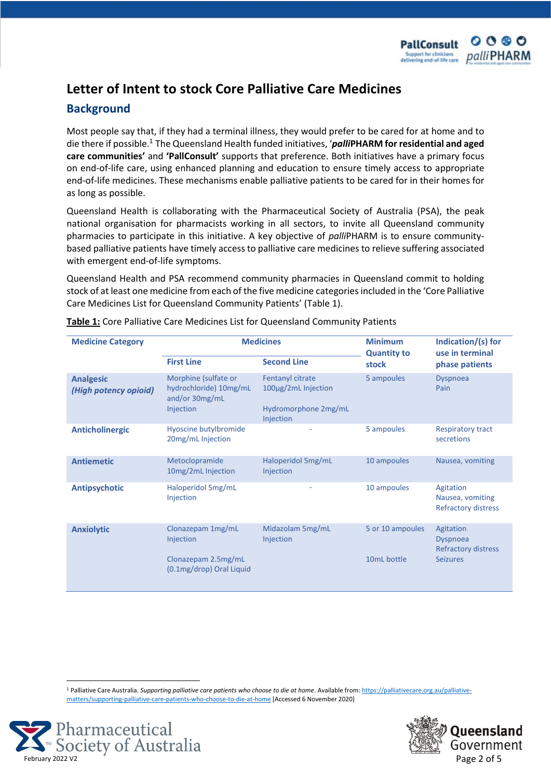

# **Letter of Intent to stock Core Palliative Care Medicines**

#### **Background**

Most people say that, if they had a terminal illness, they would prefer to be cared for at home and to die there if possible.<sup>1</sup> The Queensland Health funded initiatives, '*palli***PHARM for residential and aged care communities'** and **'PallConsult'** supports that preference. Both initiatives have a primary focus on end-of-life care, using enhanced planning and education to ensure timely access to appropriate end-of-life medicines. These mechanisms enable palliative patients to be cared for in their homes for as long as possible.

Queensland Health is collaborating with the Pharmaceutical Society of Australia (PSA), the peak national organisation for pharmacists working in all sectors, to invite all Queensland community pharmacies to participate in this initiative. A key objective of *palli*PHARM is to ensure communitybased palliative patients have timely access to palliative care medicines to relieve suffering associated with emergent end-of-life symptoms.

Queensland Health and PSA recommend community pharmacies in Queensland commit to holding stock of at least one medicine from each of the five medicine categories included in the 'Core Palliative Care Medicines List for Queensland Community Patients' (Table 1).

| <b>Medicine Category</b>                  | <b>Medicines</b>                                                              |                                                                              | <b>Minimum</b><br><b>Quantity to</b> | Indication/(s) for<br>use in terminal                       |
|-------------------------------------------|-------------------------------------------------------------------------------|------------------------------------------------------------------------------|--------------------------------------|-------------------------------------------------------------|
|                                           | <b>First Line</b>                                                             | <b>Second Line</b>                                                           | stock                                | phase patients                                              |
| <b>Analgesic</b><br>(High potency opioid) | Morphine (sulfate or<br>hydrochloride) 10mg/mL<br>and/or 30mg/mL<br>Injection | Fentanyl citrate<br>100µg/2mL Injection<br>Hydromorphone 2mg/mL<br>Injection | 5 ampoules                           | <b>Dyspnoea</b><br>Pain                                     |
| <b>Anticholinergic</b>                    | Hyoscine butylbromide<br>20mg/mL Injection                                    |                                                                              | 5 ampoules                           | <b>Respiratory tract</b><br>secretions                      |
| <b>Antiemetic</b>                         | Metoclopramide<br>10mg/2mL Injection                                          | Haloperidol 5mg/mL<br>Injection                                              | 10 ampoules                          | Nausea, vomiting                                            |
| <b>Antipsychotic</b>                      | Haloperidol 5mg/mL<br>Injection                                               | ٠                                                                            | 10 ampoules                          | Agitation<br>Nausea, vomiting<br><b>Refractory distress</b> |
| <b>Anxiolytic</b>                         | Clonazepam 1mg/mL<br>Injection                                                | Midazolam 5mg/mL<br>Injection                                                | 5 or 10 ampoules                     | Agitation<br><b>Dyspnoea</b><br><b>Refractory distress</b>  |
|                                           | Clonazepam 2.5mg/mL<br>(0.1mg/drop) Oral Liquid                               |                                                                              | 10mL bottle                          | <b>Seizures</b>                                             |

**Table 1:** Core Palliative Care Medicines List for Queensland Community Patients

<sup>1</sup> Palliative Care Australia. *Supporting palliative care patients who choose to die at home*. Available from[: https://palliativecare.org.au/palliative](https://palliativecare.org.au/palliative-matters/supporting-palliative-care-patients-who-choose-to-die-at-home)[matters/supporting-palliative-care-patients-who-choose-to-die-at-home](https://palliativecare.org.au/palliative-matters/supporting-palliative-care-patients-who-choose-to-die-at-home) [Accessed 6 November 2020]



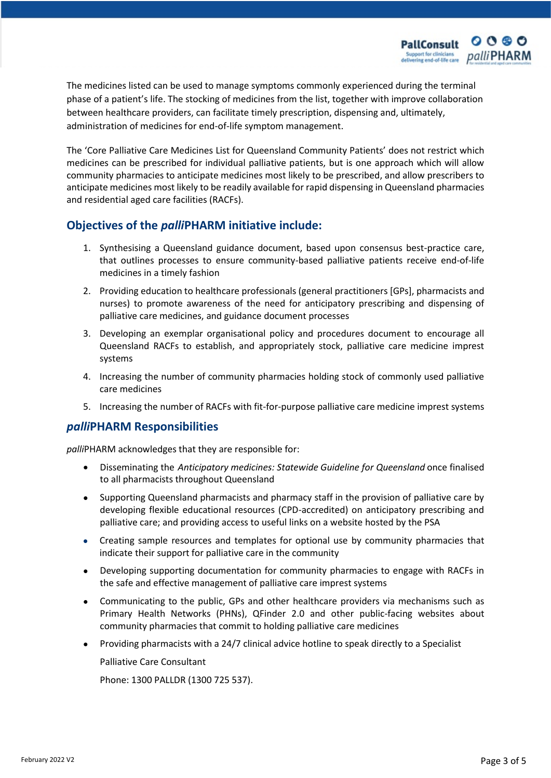The medicines listed can be used to manage symptoms commonly experienced during the terminal phase of a patient's life. The stocking of medicines from the list, together with improve collaboration between healthcare providers, can facilitate timely prescription, dispensing and, ultimately, administration of medicines for end-of-life symptom management.

The 'Core Palliative Care Medicines List for Queensland Community Patients' does not restrict which medicines can be prescribed for individual palliative patients, but is one approach which will allow community pharmacies to anticipate medicines most likely to be prescribed, and allow prescribers to anticipate medicines most likely to be readily available for rapid dispensing in Queensland pharmacies and residential aged care facilities (RACFs).

### **Objectives of the** *palli***PHARM initiative include:**

- 1. Synthesising a Queensland guidance document, based upon consensus best-practice care, that outlines processes to ensure community-based palliative patients receive end-of-life medicines in a timely fashion
- 2. Providing education to healthcare professionals (general practitioners [GPs], pharmacists and nurses) to promote awareness of the need for anticipatory prescribing and dispensing of palliative care medicines, and guidance document processes
- 3. Developing an exemplar organisational policy and procedures document to encourage all Queensland RACFs to establish, and appropriately stock, palliative care medicine imprest systems
- 4. Increasing the number of community pharmacies holding stock of commonly used palliative care medicines
- 5. Increasing the number of RACFs with fit-for-purpose palliative care medicine imprest systems

#### *palli***PHARM Responsibilities**

*palli*PHARM acknowledges that they are responsible for:

- Disseminating the *Anticipatory medicines: Statewide Guideline for Queensland* once finalised to all pharmacists throughout Queensland
- Supporting Queensland pharmacists and pharmacy staff in the provision of palliative care by developing flexible educational resources (CPD-accredited) on anticipatory prescribing and palliative care; and providing access to useful links on a website hosted by the PSA
- Creating sample resources and templates for optional use by community pharmacies that indicate their support for palliative care in the community
- Developing supporting documentation for community pharmacies to engage with RACFs in the safe and effective management of palliative care imprest systems
- Communicating to the public, GPs and other healthcare providers via mechanisms such as Primary Health Networks (PHNs), QFinder 2.0 and other public-facing websites about community pharmacies that commit to holding palliative care medicines
- Providing pharmacists with a 24/7 clinical advice hotline to speak directly to a Specialist

Palliative Care Consultant

Phone: 1300 PALLDR (1300 725 537).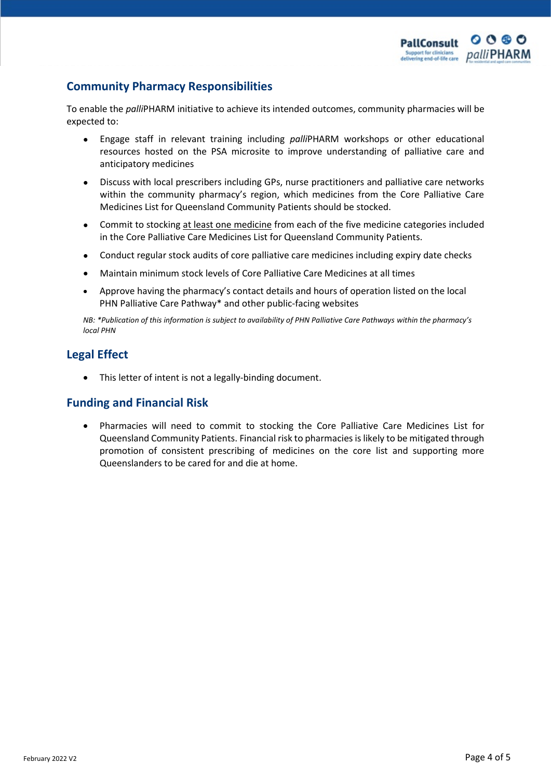### **Community Pharmacy Responsibilities**

To enable the *palli*PHARM initiative to achieve its intended outcomes, community pharmacies will be expected to:

- Engage staff in relevant training including *palli*PHARM workshops or other educational resources hosted on the PSA microsite to improve understanding of palliative care and anticipatory medicines
- Discuss with local prescribers including GPs, nurse practitioners and palliative care networks within the community pharmacy's region, which medicines from the Core Palliative Care Medicines List for Queensland Community Patients should be stocked.
- Commit to stocking at least one medicine from each of the five medicine categories included in the Core Palliative Care Medicines List for Queensland Community Patients.
- Conduct regular stock audits of core palliative care medicines including expiry date checks
- Maintain minimum stock levels of Core Palliative Care Medicines at all times
- Approve having the pharmacy's contact details and hours of operation listed on the local PHN Palliative Care Pathway\* and other public-facing websites

*NB: \*Publication of this information is subject to availability of PHN Palliative Care Pathways within the pharmacy's local PHN*

## **Legal Effect**

• This letter of intent is not a legally-binding document.

### **Funding and Financial Risk**

• Pharmacies will need to commit to stocking the Core Palliative Care Medicines List for Queensland Community Patients. Financial risk to pharmacies is likely to be mitigated through promotion of consistent prescribing of medicines on the core list and supporting more Queenslanders to be cared for and die at home.